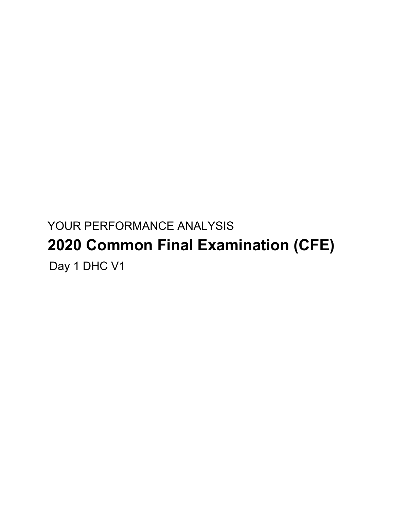# YOUR PERFORMANCE ANALYSIS **2020 Common Final Examination (CFE)** Day 1 DHC V1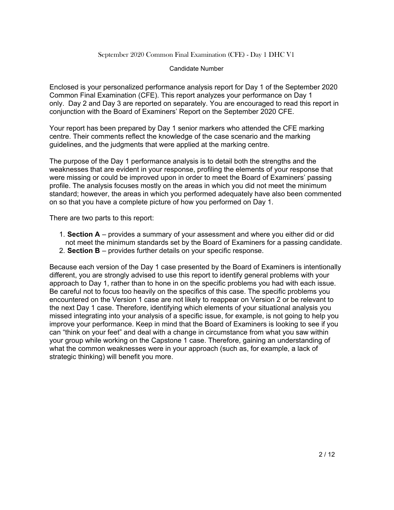#### Candidate Number

Enclosed is your personalized performance analysis report for Day 1 of the September 2020 Common Final Examination (CFE). This report analyzes your performance on Day 1 only. Day 2 and Day 3 are reported on separately. You are encouraged to read this report in conjunction with the Board of Examiners' Report on the September 2020 CFE.

Your report has been prepared by Day 1 senior markers who attended the CFE marking centre. Their comments reflect the knowledge of the case scenario and the marking guidelines, and the judgments that were applied at the marking centre.

The purpose of the Day 1 performance analysis is to detail both the strengths and the weaknesses that are evident in your response, profiling the elements of your response that were missing or could be improved upon in order to meet the Board of Examiners' passing profile. The analysis focuses mostly on the areas in which you did not meet the minimum standard; however, the areas in which you performed adequately have also been commented on so that you have a complete picture of how you performed on Day 1.

There are two parts to this report:

- 1. **Section A** provides a summary of your assessment and where you either did or did not meet the minimum standards set by the Board of Examiners for a passing candidate.
- 2. **Section B** provides further details on your specific response.

Because each version of the Day 1 case presented by the Board of Examiners is intentionally different, you are strongly advised to use this report to identify general problems with your approach to Day 1, rather than to hone in on the specific problems you had with each issue. Be careful not to focus too heavily on the specifics of this case. The specific problems you encountered on the Version 1 case are not likely to reappear on Version 2 or be relevant to the next Day 1 case. Therefore, identifying which elements of your situational analysis you missed integrating into your analysis of a specific issue, for example, is not going to help you improve your performance. Keep in mind that the Board of Examiners is looking to see if you can "think on your feet" and deal with a change in circumstance from what you saw within your group while working on the Capstone 1 case. Therefore, gaining an understanding of what the common weaknesses were in your approach (such as, for example, a lack of strategic thinking) will benefit you more.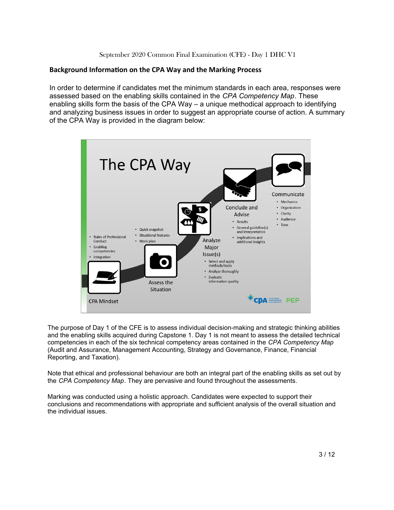## **Background Information on the CPA Way and the Marking Process**

In order to determine if candidates met the minimum standards in each area, responses were assessed based on the enabling skills contained in the *CPA Competency Map*. These enabling skills form the basis of the CPA Way – a unique methodical approach to identifying and analyzing business issues in order to suggest an appropriate course of action. A summary of the CPA Way is provided in the diagram below:



The purpose of Day 1 of the CFE is to assess individual decision-making and strategic thinking abilities and the enabling skills acquired during Capstone 1. Day 1 is not meant to assess the detailed technical competencies in each of the six technical competency areas contained in the *CPA Competency Map* (Audit and Assurance, Management Accounting, Strategy and Governance, Finance, Financial Reporting, and Taxation).

Note that ethical and professional behaviour are both an integral part of the enabling skills as set out by the *CPA Competency Map*. They are pervasive and found throughout the assessments.

Marking was conducted using a holistic approach. Candidates were expected to support their conclusions and recommendations with appropriate and sufficient analysis of the overall situation and the individual issues.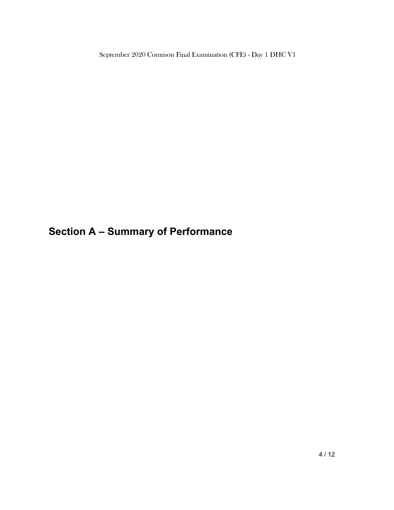**Section A – Summary of Performance**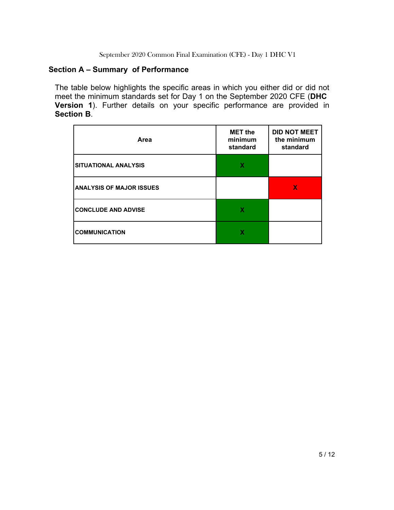## **Section A – Summary of Performance**

The table below highlights the specific areas in which you either did or did not meet the minimum standards set for Day 1 on the September 2020 CFE (**DHC Version 1**). Further details on your specific performance are provided in **Section B**.

| Area                            | <b>MET the</b><br>minimum<br>standard | <b>DID NOT MEET</b><br>the minimum<br>standard |
|---------------------------------|---------------------------------------|------------------------------------------------|
| <b>SITUATIONAL ANALYSIS</b>     | х                                     |                                                |
| <b>ANALYSIS OF MAJOR ISSUES</b> |                                       | X                                              |
| <b>CONCLUDE AND ADVISE</b>      | х                                     |                                                |
| <b>COMMUNICATION</b>            |                                       |                                                |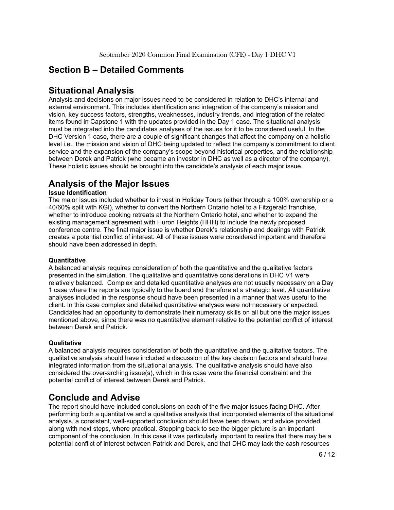# **Section B – Detailed Comments**

## **Situational Analysis**

Analysis and decisions on major issues need to be considered in relation to DHC's internal and external environment. This includes identification and integration of the company's mission and vision, key success factors, strengths, weaknesses, industry trends, and integration of the related items found in Capstone 1 with the updates provided in the Day 1 case. The situational analysis must be integrated into the candidates analyses of the issues for it to be considered useful. In the DHC Version 1 case, there are a couple of significant changes that affect the company on a holistic level i.e., the mission and vision of DHC being updated to reflect the company's commitment to client service and the expansion of the company's scope beyond historical properties, and the relationship between Derek and Patrick (who became an investor in DHC as well as a director of the company). These holistic issues should be brought into the candidate's analysis of each major issue.

# **Analysis of the Major Issues**

## **Issue Identification**

The major issues included whether to invest in Holiday Tours (either through a 100% ownership or a 40/60% split with KGI), whether to convert the Northern Ontario hotel to a Fitzgerald franchise, whether to introduce cooking retreats at the Northern Ontario hotel, and whether to expand the existing management agreement with Huron Heights (HHH) to include the newly proposed conference centre. The final major issue is whether Derek's relationship and dealings with Patrick creates a potential conflict of interest. All of these issues were considered important and therefore should have been addressed in depth.

## **Quantitative**

A balanced analysis requires consideration of both the quantitative and the qualitative factors presented in the simulation. The qualitative and quantitative considerations in DHC V1 were relatively balanced. Complex and detailed quantitative analyses are not usually necessary on a Day 1 case where the reports are typically to the board and therefore at a strategic level. All quantitative analyses included in the response should have been presented in a manner that was useful to the client. In this case complex and detailed quantitative analyses were not necessary or expected. Candidates had an opportunity to demonstrate their numeracy skills on all but one the major issues mentioned above, since there was no quantitative element relative to the potential conflict of interest between Derek and Patrick.

## **Qualitative**

A balanced analysis requires consideration of both the quantitative and the qualitative factors. The qualitative analysis should have included a discussion of the key decision factors and should have integrated information from the situational analysis. The qualitative analysis should have also considered the over-arching issue(s), which in this case were the financial constraint and the potential conflict of interest between Derek and Patrick.

# **Conclude and Advise**

The report should have included conclusions on each of the five major issues facing DHC. After performing both a quantitative and a qualitative analysis that incorporated elements of the situational analysis, a consistent, well-supported conclusion should have been drawn, and advice provided, along with next steps, where practical. Stepping back to see the bigger picture is an important component of the conclusion. In this case it was particularly important to realize that there may be a potential conflict of interest between Patrick and Derek, and that DHC may lack the cash resources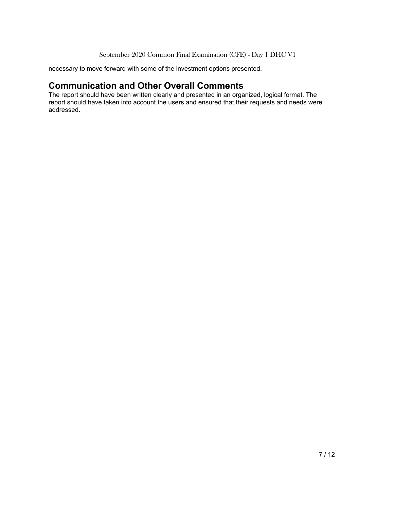necessary to move forward with some of the investment options presented.

## **Communication and Other Overall Comments**

The report should have been written clearly and presented in an organized, logical format. The report should have taken into account the users and ensured that their requests and needs were addressed.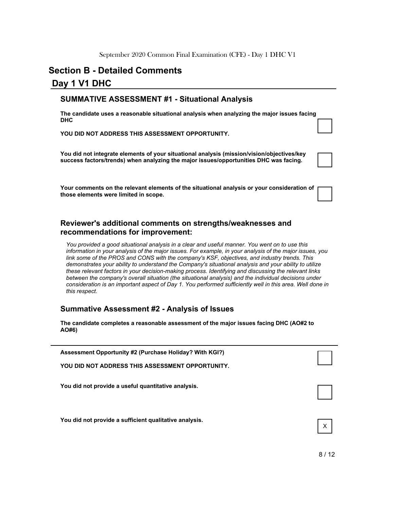## **Section B - Detailed Comments**

## **Day 1 V1 DHC**

## **SUMMATIVE ASSESSMENT #1 - Situational Analysis**

**The candidate uses a reasonable situational analysis when analyzing the major issues facing DHC**

**YOU DID NOT ADDRESS THIS ASSESSMENT OPPORTUNITY.**

**You did not integrate elements of your situational analysis (mission/vision/objectives/key success factors/trends) when analyzing the major issues/opportunities DHC was facing.**

**Your comments on the relevant elements of the situational analysis or your consideration of those elements were limited in scope.**

## **Reviewer's additional comments on strengths/weaknesses and recommendations for improvement:**

*You provided a good situational analysis in a clear and useful manner. You went on to use this information in your analysis of the major issues. For example, in your analysis of the major issues, you link some of the PROS and CONS with the company's KSF, objectives, and industry trends. This demonstrates your ability to understand the Company's situational analysis and your ability to utilize these relevant factors in your decision-making process. Identifying and discussing the relevant links between the company's overall situation (the situational analysis) and the individual decisions under consideration is an important aspect of Day 1. You performed sufficiently well in this area. Well done in this respect.*

## **Summative Assessment #2 - Analysis of Issues**

**The candidate completes a reasonable assessment of the major issues facing DHC (AO#2 to AO#6)**

| Assessment Opportunity #2 (Purchase Holiday? With KGI?) |   |
|---------------------------------------------------------|---|
| YOU DID NOT ADDRESS THIS ASSESSMENT OPPORTUNITY.        |   |
| You did not provide a useful quantitative analysis.     |   |
|                                                         |   |
|                                                         |   |
| You did not provide a sufficient qualitative analysis.  | X |
|                                                         |   |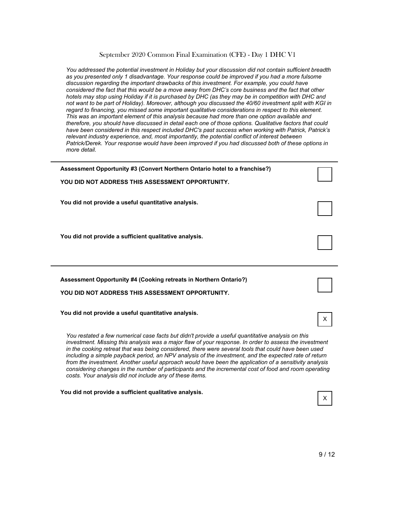*You addressed the potential investment in Holiday but your discussion did not contain sufficient breadth as you presented only 1 disadvantage. Your response could be improved if you had a more fulsome discussion regarding the important drawbacks of this investment. For example, you could have considered the fact that this would be a move away from DHC's core business and the fact that other hotels may stop using Holiday if it is purchased by DHC (as they may be in competition with DHC and not want to be part of Holiday). Moreover, although you discussed the 40/60 investment split with KGI in regard to financing, you missed some important qualitative considerations in respect to this element. This was an important element of this analysis because had more than one option available and therefore, you should have discussed in detail each one of those options. Qualitative factors that could have been considered in this respect included DHC's past success when working with Patrick, Patrick's relevant industry experience, and, most importantly, the potential conflict of interest between Patrick/Derek. Your response would have been improved if you had discussed both of these options in more detail.*

| Assessment Opportunity #3 (Convert Northern Ontario hotel to a franchise?)                                                                                                                                                                                                                                                                                                                                                                                                                                                                                                                                                                                                                                  |   |  |
|-------------------------------------------------------------------------------------------------------------------------------------------------------------------------------------------------------------------------------------------------------------------------------------------------------------------------------------------------------------------------------------------------------------------------------------------------------------------------------------------------------------------------------------------------------------------------------------------------------------------------------------------------------------------------------------------------------------|---|--|
| YOU DID NOT ADDRESS THIS ASSESSMENT OPPORTUNITY.                                                                                                                                                                                                                                                                                                                                                                                                                                                                                                                                                                                                                                                            |   |  |
| You did not provide a useful quantitative analysis.                                                                                                                                                                                                                                                                                                                                                                                                                                                                                                                                                                                                                                                         |   |  |
|                                                                                                                                                                                                                                                                                                                                                                                                                                                                                                                                                                                                                                                                                                             |   |  |
| You did not provide a sufficient qualitative analysis.                                                                                                                                                                                                                                                                                                                                                                                                                                                                                                                                                                                                                                                      |   |  |
|                                                                                                                                                                                                                                                                                                                                                                                                                                                                                                                                                                                                                                                                                                             |   |  |
| <b>Assessment Opportunity #4 (Cooking retreats in Northern Ontario?)</b>                                                                                                                                                                                                                                                                                                                                                                                                                                                                                                                                                                                                                                    |   |  |
| YOU DID NOT ADDRESS THIS ASSESSMENT OPPORTUNITY.                                                                                                                                                                                                                                                                                                                                                                                                                                                                                                                                                                                                                                                            |   |  |
| You did not provide a useful quantitative analysis.                                                                                                                                                                                                                                                                                                                                                                                                                                                                                                                                                                                                                                                         | x |  |
| You restated a few numerical case facts but didn't provide a useful quantitative analysis on this<br>investment. Missing this analysis was a major flaw of your response. In order to assess the investment<br>in the cooking retreat that was being considered, there were several tools that could have been used<br>including a simple payback period, an NPV analysis of the investment, and the expected rate of return<br>from the investment. Another useful approach would have been the application of a sensitivity analysis<br>considering changes in the number of participants and the incremental cost of food and room operating<br>costs. Your analysis did not include any of these items. |   |  |

**You did not provide a sufficient qualitative analysis.**

X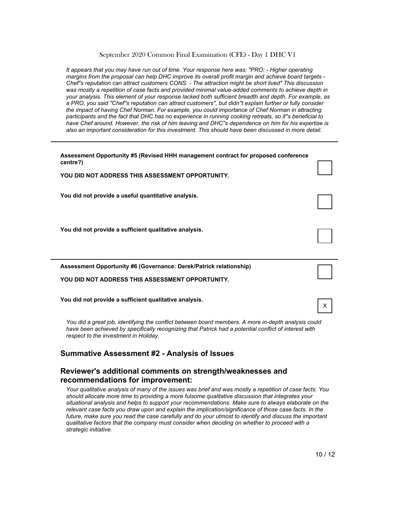*It appears that you may have run out of time. Your response here was: "PRO: - Higher operating margins from the proposal can help DHC improve its overall profit margin and achieve board targets - Chef''s reputation can attract customers CONS: - The attraction might be short lived" This discussion was mostly a repetition of case facts and provided minimal value-added comments to achieve depth in your analysis. This element of your response lacked both sufficient breadth and depth. For example, as a PRO, you said "Chef''s reputation can attract customers", but didn''t explain further or fully consider the impact of having Chef Norman. For example, you could importance of Chef Norman in attracting participants and the fact that DHC has no experience in running cooking retreats, so it''s beneficial to have Chef around. However, the risk of him leaving and DHC''s dependence on him for his expertise is also an important consideration for this investment. This should have been discussed in more detail.*

| Assessment Opportunity #5 (Revised HHH management contract for proposed conference<br>centre?) |   |
|------------------------------------------------------------------------------------------------|---|
| YOU DID NOT ADDRESS THIS ASSESSMENT OPPORTUNITY.                                               |   |
| You did not provide a useful quantitative analysis.                                            |   |
| You did not provide a sufficient qualitative analysis.                                         |   |
| <b>Assessment Opportunity #6 (Governance: Derek/Patrick relationship)</b>                      |   |
| YOU DID NOT ADDRESS THIS ASSESSMENT OPPORTUNITY.                                               |   |
| You did not provide a sufficient qualitative analysis.                                         | x |

*You did a great job, identifying the conflict between board members. A more in-depth analysis could*  have been achieved by specifically recognizing that Patrick had a potential conflict of interest with *respect to the investment in Holiday.*

## **Summative Assessment #2 - Analysis of Issues**

## **Reviewer's additional comments on strength/weaknesses and recommendations for improvement:**

*Your qualitative analysis of many of the issues was brief and was mostly a repetition of case facts. You should allocate more time to providing a more fulsome qualitative discussion that integrates your situational analysis and helps to support your recommendations. Make sure to always elaborate on the relevant case facts you draw upon and explain the implication/significance of those case facts. In the future, make sure you read the case carefully and do your utmost to identify and discuss the important qualitative factors that the company must consider when deciding on whether to proceed with a strategic initiative.*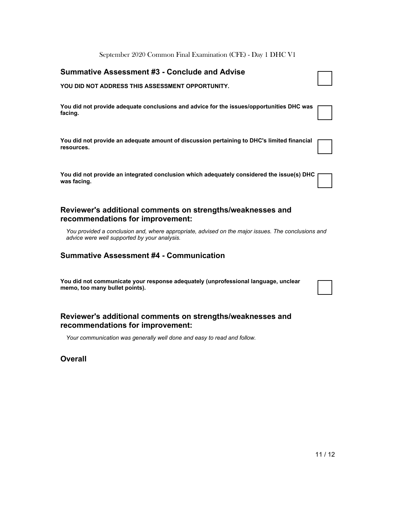| September 2020 Common Final Examination (CFE) - Day 1 DHC V1                                                                                       |  |
|----------------------------------------------------------------------------------------------------------------------------------------------------|--|
| <b>Summative Assessment #3 - Conclude and Advise</b>                                                                                               |  |
| YOU DID NOT ADDRESS THIS ASSESSMENT OPPORTUNITY.                                                                                                   |  |
| You did not provide adequate conclusions and advice for the issues/opportunities DHC was<br>facing.                                                |  |
| You did not provide an adequate amount of discussion pertaining to DHC's limited financial<br>resources.                                           |  |
| You did not provide an integrated conclusion which adequately considered the issue(s) DHC<br>was facing.                                           |  |
| Reviewer's additional comments on strengths/weaknesses and<br>recommendations for improvement:                                                     |  |
| You provided a conclusion and, where appropriate, advised on the major issues. The conclusions and<br>advice were well supported by your analysis. |  |

## **Summative Assessment #4 - Communication**

**You did not communicate your response adequately (unprofessional language, unclear memo, too many bullet points).**

## **Reviewer's additional comments on strengths/weaknesses and recommendations for improvement:**

*Your communication was generally well done and easy to read and follow.*

**Overall**